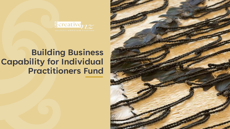

**Building Business Capability for Individual Practitioners Fund**

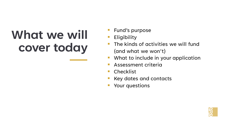# **What we will cover today**

- Fund's purpose
- **Eligibility**
- The kinds of activities we will fund (and what we won't)
- What to include in your application
- Assessment criteria
- **Checklist**
- Key dates and contacts
- Your questions

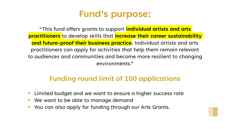## **Fund's purpose:**

"This fund offers grants to support **individual artists and arts practitioners** to develop skills that **increase their career sustainability and future-proof their business practice.** Individual artists and arts practitioners can apply for activities that help them remain relevant to audiences and communities and become more resilient to changing environments."

## **Funding round limit of 100 applications**

- Limited budget and we want to ensure a higher success rate
- We want to be able to manage demand
- You can also apply for funding through our Arts Grants.

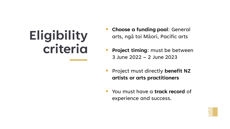# **Eligibility criteria**

- **Choose a funding pool: General** arts, ngā toi Māori, Pacific arts
- **Project timing:** must be between 3 June 2022 – 2 June 2023
- Project must directly **benefit NZ artists or arts practitioners**
- You must have a **track record** of experience and success.

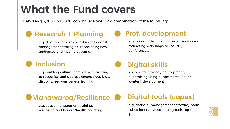## **What the Fund covers**

Between \$5,000 - \$10,000, can include one OR a combination of the following:

## **Research + Planning**

e.g. developing or revising business or risk management strategies, researching new audiences and income streams.

## **Prof. development**

e.g. financial training course, attendance at marketing workshops or industry conferences.

## **Inclusion**

e.g. building cultural competence, training to recognise and address unconscious bias, disability responsiveness training.

## **Digital skills**

e.g. digital strategy development, fundraising using e-commerce, online content development.

## **Manawaroa/Resilience**

e.g. stress management training, wellbeing and hauora/health coaching.

## **Digital tools (capex)**

e.g. financial management software, Zoom subscription, live streaming tools, up to \$3,000.

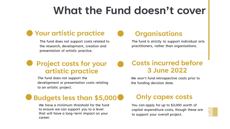## **What the Fund doesn't cover**

## **Your artistic practice**

The fund does not support costs related to the research, development, creation and presentation of artistic practice.

### **Organisations**

The fund is strictly to support individual arts practitioners, rather than organisations.

## **Project costs for your artistic practice**

The fund does not support the development or presentation costs relating to an artistic project.

#### **Costs incurred before 3 June 2022**

We won't fund retrospective costs prior to the funding decision date.

## **Budgets less than \$5,000**

We have a minimum threshold for the fund to ensure we can support you to a level that will have a long-term impact on your career.

## **Only capex costs**

You can apply for up to \$3,000 worth of capital expenditure costs, though these are to support your overall project.

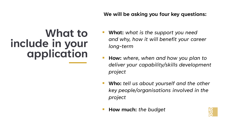#### **We will be asking you four key questions:**

## **What to include in your application**

- **What:** what is the support you need *and why, how it will benefit your career long-term*
- **How:** *where, when and how you plan to deliver your capability/skills development project*
- **Who:** *tell us about yourself and the other key people/organisations involved in the project*
- **How much:** *the budget*

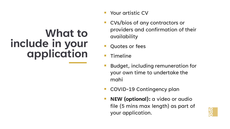## **What to include in your application**

- Your artistic CV
- CVs/bios of any contractors or providers and confirmation of their availability
- Quotes or fees
- **Timeline**
- Budget, including remuneration for your own time to undertake the mahi
- COVID-19 Contingency plan
- **NEW (optional):** a video or audio file (5 mins max length) as part of your application.

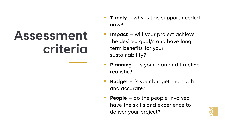# **Assessment criteria**

- **Timely** why is this support needed now?
- **Impact** will your project achieve the desired goal/s and have long term benefits for your sustainability?
- **Planning** is your plan and timeline realistic?
- **Budget** is your budget thorough and accurate?
- **People** do the people involved have the skills and experience to deliver your project?

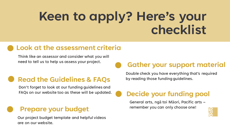# **Keen to apply? Here's your checklist**

## **Look at the assessment criteria**

Think like an assessor and consider what you will need to tell us to help us assess your project.

## **Read the Guidelines & FAQs**

Don't forget to look at our funding guidelines and FAQs on our website too as these will be updated.

## **Prepare your budget**

Our project budget template and helpful videos are on our website.

## **Gather your support material**

Double check you have everything that's required by reading those funding guidelines.

## **Decide your funding pool**

General arts, ngā toi Māori, Pacific arts – remember you can only choose one!